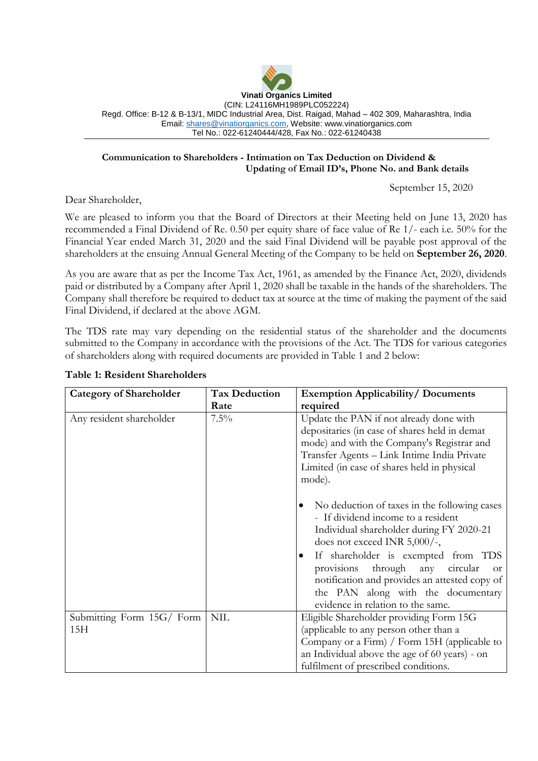

### **Communication to Shareholders - Intimation on Tax Deduction on Dividend & Updating of Email ID's, Phone No. and Bank details**

September 15, 2020

Dear Shareholder,

We are pleased to inform you that the Board of Directors at their Meeting held on June 13, 2020 has recommended a Final Dividend of Re. 0.50 per equity share of face value of Re 1/- each i.e. 50% for the Financial Year ended March 31, 2020 and the said Final Dividend will be payable post approval of the shareholders at the ensuing Annual General Meeting of the Company to be held on **September 26, 2020**.

As you are aware that as per the Income Tax Act, 1961, as amended by the Finance Act, 2020, dividends paid or distributed by a Company after April 1, 2020 shall be taxable in the hands of the shareholders. The Company shall therefore be required to deduct tax at source at the time of making the payment of the said Final Dividend, if declared at the above AGM.

The TDS rate may vary depending on the residential status of the shareholder and the documents submitted to the Company in accordance with the provisions of the Act. The TDS for various categories of shareholders along with required documents are provided in Table 1 and 2 below:

| <b>Category of Shareholder</b>   | <b>Tax Deduction</b> | <b>Exemption Applicability/ Documents</b>                                                                                                                                                                                                                                                                                                                                                               |
|----------------------------------|----------------------|---------------------------------------------------------------------------------------------------------------------------------------------------------------------------------------------------------------------------------------------------------------------------------------------------------------------------------------------------------------------------------------------------------|
|                                  | Rate                 | required                                                                                                                                                                                                                                                                                                                                                                                                |
| Any resident shareholder         | $7.5\%$              | Update the PAN if not already done with<br>depositaries (in case of shares held in demat<br>mode) and with the Company's Registrar and<br>Transfer Agents - Link Intime India Private<br>Limited (in case of shares held in physical<br>mode).                                                                                                                                                          |
|                                  |                      | No deduction of taxes in the following cases<br>- If dividend income to a resident<br>Individual shareholder during FY 2020-21<br>does not exceed INR 5,000/-,<br>If shareholder is exempted from TDS<br>$\bullet$<br>through<br>any<br>provisions<br>circular<br><b>or</b><br>notification and provides an attested copy of<br>the PAN along with the documentary<br>evidence in relation to the same. |
| Submitting Form 15G/ Form<br>15H | <b>NIL</b>           | Eligible Shareholder providing Form 15G<br>(applicable to any person other than a<br>Company or a Firm) / Form 15H (applicable to<br>an Individual above the age of 60 years) - on<br>fulfilment of prescribed conditions.                                                                                                                                                                              |

# **Table 1: Resident Shareholders**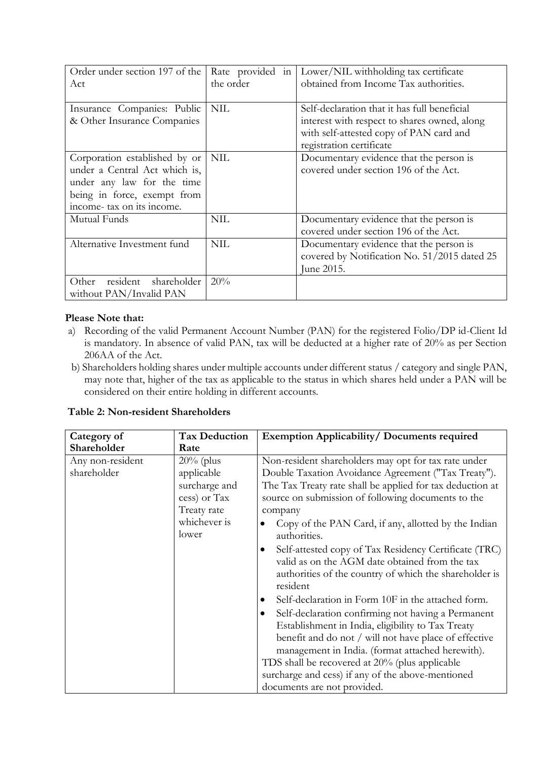| Order under section 197 of the<br>Act                                                                                                                    | Rate provided in<br>the order | Lower/NIL withholding tax certificate<br>obtained from Income Tax authorities.                                                                                      |
|----------------------------------------------------------------------------------------------------------------------------------------------------------|-------------------------------|---------------------------------------------------------------------------------------------------------------------------------------------------------------------|
| Insurance Companies: Public<br>& Other Insurance Companies                                                                                               | <b>NIL</b>                    | Self-declaration that it has full beneficial<br>interest with respect to shares owned, along<br>with self-attested copy of PAN card and<br>registration certificate |
| Corporation established by or<br>under a Central Act which is,<br>under any law for the time<br>being in force, exempt from<br>income-tax on its income. | <b>NIL</b>                    | Documentary evidence that the person is<br>covered under section 196 of the Act.                                                                                    |
| Mutual Funds                                                                                                                                             | <b>NIL</b>                    | Documentary evidence that the person is<br>covered under section 196 of the Act.                                                                                    |
| Alternative Investment fund                                                                                                                              | NIL                           | Documentary evidence that the person is<br>covered by Notification No. 51/2015 dated 25<br>June 2015.                                                               |
| resident<br>shareholder<br>Other<br>without PAN/Invalid PAN                                                                                              | 20%                           |                                                                                                                                                                     |

# **Please Note that:**

- a) Recording of the valid Permanent Account Number (PAN) for the registered Folio/DP id-Client Id is mandatory. In absence of valid PAN, tax will be deducted at a higher rate of 20% as per Section 206AA of the Act.
- b) Shareholders holding shares under multiple accounts under different status / category and single PAN, may note that, higher of the tax as applicable to the status in which shares held under a PAN will be considered on their entire holding in different accounts.

| <b>Table 2: Non-resident Shareholders</b> |  |
|-------------------------------------------|--|
|-------------------------------------------|--|

| Category of                     | <b>Tax Deduction</b>                                                                                | <b>Exemption Applicability/ Documents required</b>                                                                                                                                                                                                                                                                                                                                                                                                                                                                                                                                                                                                                                                                                                                                                                                                                                                                                                    |
|---------------------------------|-----------------------------------------------------------------------------------------------------|-------------------------------------------------------------------------------------------------------------------------------------------------------------------------------------------------------------------------------------------------------------------------------------------------------------------------------------------------------------------------------------------------------------------------------------------------------------------------------------------------------------------------------------------------------------------------------------------------------------------------------------------------------------------------------------------------------------------------------------------------------------------------------------------------------------------------------------------------------------------------------------------------------------------------------------------------------|
| Shareholder                     | Rate                                                                                                |                                                                                                                                                                                                                                                                                                                                                                                                                                                                                                                                                                                                                                                                                                                                                                                                                                                                                                                                                       |
| Any non-resident<br>shareholder | $20\%$ (plus<br>applicable<br>surcharge and<br>cess) or Tax<br>Treaty rate<br>whichever is<br>lower | Non-resident shareholders may opt for tax rate under<br>Double Taxation Avoidance Agreement ("Tax Treaty").<br>The Tax Treaty rate shall be applied for tax deduction at<br>source on submission of following documents to the<br>company<br>Copy of the PAN Card, if any, allotted by the Indian<br>authorities.<br>Self-attested copy of Tax Residency Certificate (TRC)<br>٠<br>valid as on the AGM date obtained from the tax<br>authorities of the country of which the shareholder is<br>resident<br>Self-declaration in Form 10F in the attached form.<br>$\bullet$<br>Self-declaration confirming not having a Permanent<br>$\bullet$<br>Establishment in India, eligibility to Tax Treaty<br>benefit and do not / will not have place of effective<br>management in India. (format attached herewith).<br>TDS shall be recovered at 20% (plus applicable<br>surcharge and cess) if any of the above-mentioned<br>documents are not provided. |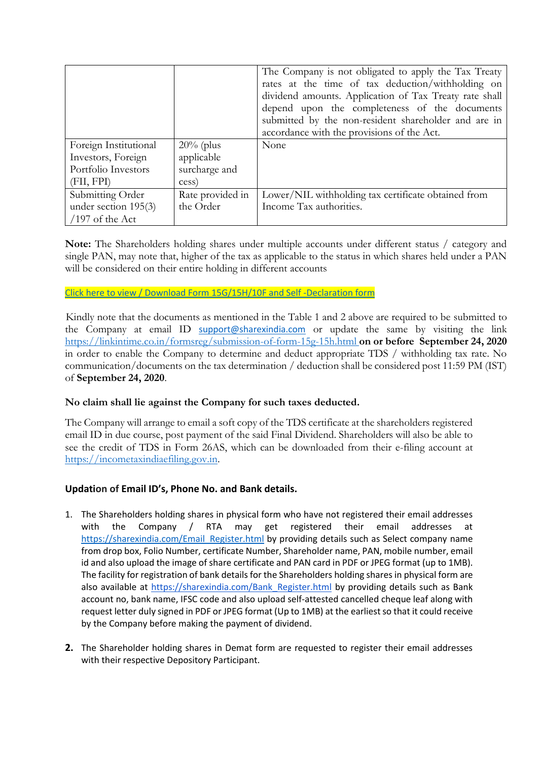|                       |                  | The Company is not obligated to apply the Tax Treaty<br>rates at the time of tax deduction/withholding on<br>dividend amounts. Application of Tax Treaty rate shall<br>depend upon the completeness of the documents |
|-----------------------|------------------|----------------------------------------------------------------------------------------------------------------------------------------------------------------------------------------------------------------------|
|                       |                  | submitted by the non-resident shareholder and are in                                                                                                                                                                 |
|                       |                  | accordance with the provisions of the Act.                                                                                                                                                                           |
| Foreign Institutional | $20\%$ (plus     | None                                                                                                                                                                                                                 |
| Investors, Foreign    | applicable       |                                                                                                                                                                                                                      |
| Portfolio Investors   | surcharge and    |                                                                                                                                                                                                                      |
| (FII, FPI)            | cess)            |                                                                                                                                                                                                                      |
| Submitting Order      | Rate provided in | Lower/NIL withholding tax certificate obtained from                                                                                                                                                                  |
| under section 195(3)  | the Order        | Income Tax authorities.                                                                                                                                                                                              |
| $/197$ of the Act     |                  |                                                                                                                                                                                                                      |

**Note:** The Shareholders holding shares under multiple accounts under different status / category and single PAN, may note that, higher of the tax as applicable to the status in which shares held under a PAN will be considered on their entire holding in different accounts

### [Click here to view / Download Form 15G/15H/10F](http://www.sharexindia.com/downloads.php?formtype=2) and Self -Declaration form

 Kindly note that the documents as mentioned in the Table 1 and 2 above are required to be submitted to the Company at email ID [support@sharexindia.com](mailto:support@sharexindia.com) or update the same by visiting the link <https://linkintime.co.in/formsreg/submission-of-form-15g-15h.html> **on or before September 24, 2020**  in order to enable the Company to determine and deduct appropriate TDS / withholding tax rate. No communication/documents on the tax determination / deduction shall be considered post 11:59 PM (IST) of **September 24, 2020**.

# **No claim shall lie against the Company for such taxes deducted.**

The Company will arrange to email a soft copy of the TDS certificate at the shareholders registered email ID in due course, post payment of the said Final Dividend. Shareholders will also be able to see the credit of TDS in Form 26AS, which can be downloaded from their e-filing account at [https://incometaxindiaefiling.gov.in.](https://incometaxindiaefiling.gov.in/)

# **Updation of Email ID's, Phone No. and Bank details.**

- 1. The Shareholders holding shares in physical form who have not registered their email addresses with the Company / RTA may get registered their email addresses at [https://sharexindia.com/Email\\_Register.html](https://sharexindia.com/Email_Register.html) by providing details such as Select company name from drop box, Folio Number, certificate Number, Shareholder name, PAN, mobile number, email id and also upload the image of share certificate and PAN card in PDF or JPEG format (up to 1MB). The facility for registration of bank details for the Shareholders holding shares in physical form are also available at [https://sharexindia.com/Bank\\_Register.html](https://linkintime.co.in/EmailReg/Email_Register.html) by providing details such as Bank account no, bank name, IFSC code and also upload self-attested cancelled cheque leaf along with request letter duly signed in PDF or JPEG format (Up to 1MB) at the earliest so that it could receive by the Company before making the payment of dividend.
- **2.** The Shareholder holding shares in Demat form are requested to register their email addresses with their respective Depository Participant.